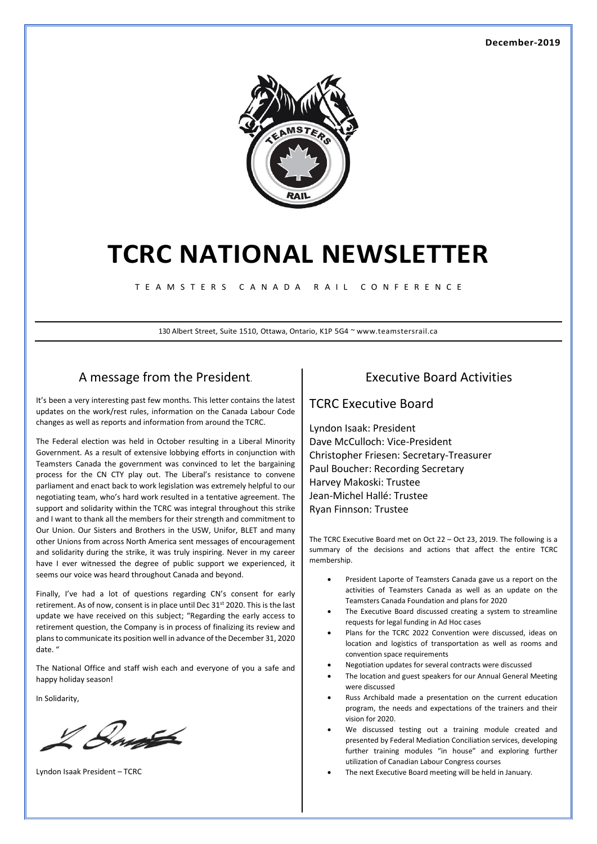

# **TCRC NATIONAL NEWSLETTER**

T E A M S T E R S C A N A D A R A I L C O N F E R E N C E

130 Albert Street, Suite 1510, Ottawa, Ontario, K1P 5G4 ~ www.teamstersrail.ca

### A message from the President.

It's been a very interesting past few months. This letter contains the latest updates on the work/rest rules, information on the Canada Labour Code changes as well as reports and information from around the TCRC.

The Federal election was held in October resulting in a Liberal Minority Government. As a result of extensive lobbying efforts in conjunction with Teamsters Canada the government was convinced to let the bargaining process for the CN CTY play out. The Liberal's resistance to convene parliament and enact back to work legislation was extremely helpful to our negotiating team, who's hard work resulted in a tentative agreement. The support and solidarity within the TCRC was integral throughout this strike and I want to thank all the members for their strength and commitment to Our Union. Our Sisters and Brothers in the USW, Unifor, BLET and many other Unions from across North America sent messages of encouragement and solidarity during the strike, it was truly inspiring. Never in my career have I ever witnessed the degree of public support we experienced, it seems our voice was heard throughout Canada and beyond.

Finally, I've had a lot of questions regarding CN's consent for early retirement. As of now, consent is in place until Dec 31<sup>st</sup> 2020. This is the last update we have received on this subject; "Regarding the early access to retirement question, the Company is in process of finalizing its review and plans to communicate its position well in advance of the December 31, 2020 date. "

The National Office and staff wish each and everyone of you a safe and happy holiday season!

In Solidarity,

Ray

Lyndon Isaak President – TCRC

### Executive Board Activities

#### TCRC Executive Board

Lyndon Isaak: President Dave McCulloch: Vice-President Christopher Friesen: Secretary-Treasurer Paul Boucher: Recording Secretary Harvey Makoski: Trustee Jean-Michel Hallé: Trustee Ryan Finnson: Trustee

The TCRC Executive Board met on Oct 22 – Oct 23, 2019. The following is a summary of the decisions and actions that affect the entire TCRC membership.

- President Laporte of Teamsters Canada gave us a report on the activities of Teamsters Canada as well as an update on the Teamsters Canada Foundation and plans for 2020
- The Executive Board discussed creating a system to streamline requests for legal funding in Ad Hoc cases
- Plans for the TCRC 2022 Convention were discussed, ideas on location and logistics of transportation as well as rooms and convention space requirements
- Negotiation updates for several contracts were discussed
- The location and guest speakers for our Annual General Meeting were discussed
- Russ Archibald made a presentation on the current education program, the needs and expectations of the trainers and their vision for 2020.
- We discussed testing out a training module created and presented by Federal Mediation Conciliation services, developing further training modules "in house" and exploring further utilization of Canadian Labour Congress courses
- The next Executive Board meeting will be held in January.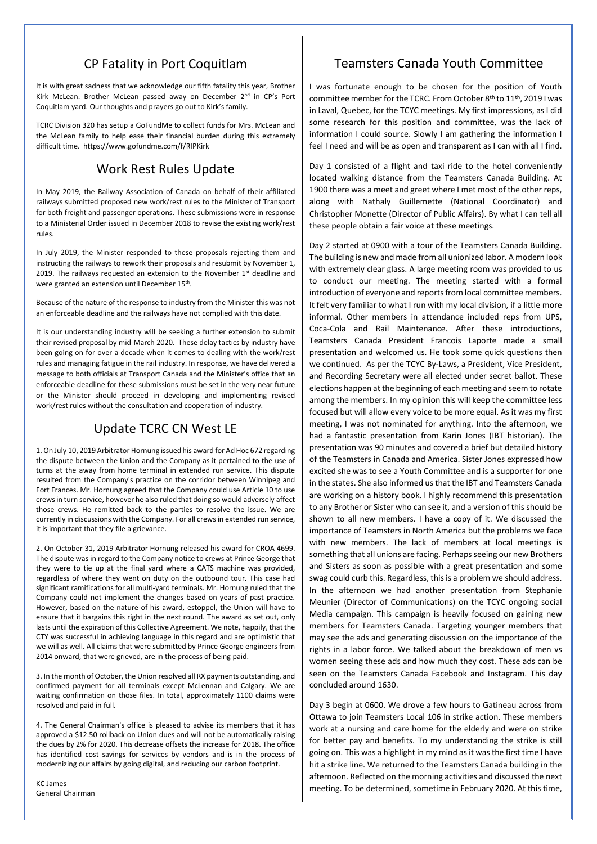## CP Fatality in Port Coquitlam

It is with great sadness that we acknowledge our fifth fatality this year, Brother Kirk McLean. Brother McLean passed away on December 2<sup>nd</sup> in CP's Port Coquitlam yard. Our thoughts and prayers go out to Kirk's family.

TCRC Division 320 has setup a GoFundMe to collect funds for Mrs. McLean and the McLean family to help ease their financial burden during this extremely difficult time. https://www.gofundme.com/f/RIPKirk

## Work Rest Rules Update

In May 2019, the Railway Association of Canada on behalf of their affiliated railways submitted proposed new work/rest rules to the Minister of Transport for both freight and passenger operations. These submissions were in response to a Ministerial Order issued in December 2018 to revise the existing work/rest rules.

In July 2019, the Minister responded to these proposals rejecting them and instructing the railways to rework their proposals and resubmit by November 1, 2019. The railways requested an extension to the November 1st deadline and were granted an extension until December 15th.

Because of the nature of the response to industry from the Minister this was not an enforceable deadline and the railways have not complied with this date.

It is our understanding industry will be seeking a further extension to submit their revised proposal by mid-March 2020. These delay tactics by industry have been going on for over a decade when it comes to dealing with the work/rest rules and managing fatigue in the rail industry. In response, we have delivered a message to both officials at Transport Canada and the Minister's office that an enforceable deadline for these submissions must be set in the very near future or the Minister should proceed in developing and implementing revised work/rest rules without the consultation and cooperation of industry.

# Update TCRC CN West LE

1. On July 10, 2019 Arbitrator Hornung issued his award for Ad Hoc 672 regarding the dispute between the Union and the Company as it pertained to the use of turns at the away from home terminal in extended run service. This dispute resulted from the Company's practice on the corridor between Winnipeg and Fort Frances. Mr. Hornung agreed that the Company could use Article 10 to use crews in turn service, however he also ruled that doing so would adversely affect those crews. He remitted back to the parties to resolve the issue. We are currently in discussions with the Company. For all crews in extended run service, it is important that they file a grievance.

2. On October 31, 2019 Arbitrator Hornung released his award for CROA 4699. The dispute was in regard to the Company notice to crews at Prince George that they were to tie up at the final yard where a CATS machine was provided, regardless of where they went on duty on the outbound tour. This case had significant ramifications for all multi-yard terminals. Mr. Hornung ruled that the Company could not implement the changes based on years of past practice. However, based on the nature of his award, estoppel, the Union will have to ensure that it bargains this right in the next round. The award as set out, only lasts until the expiration of this Collective Agreement. We note, happily, that the CTY was successful in achieving language in this regard and are optimistic that we will as well. All claims that were submitted by Prince George engineers from 2014 onward, that were grieved, are in the process of being paid.

3. In the month of October, the Union resolved all RX payments outstanding, and confirmed payment for all terminals except McLennan and Calgary. We are waiting confirmation on those files. In total, approximately 1100 claims were resolved and paid in full.

4. The General Chairman's office is pleased to advise its members that it has approved a \$12.50 rollback on Union dues and will not be automatically raising the dues by 2% for 2020. This decrease offsets the increase for 2018. The office has identified cost savings for services by vendors and is in the process of modernizing our affairs by going digital, and reducing our carbon footprint.

KC James General Chairman

# Teamsters Canada Youth Committee

I was fortunate enough to be chosen for the position of Youth committee member for the TCRC. From October 8th to 11th, 2019 I was in Laval, Quebec, for the TCYC meetings. My first impressions, as I did some research for this position and committee, was the lack of information I could source. Slowly I am gathering the information I feel I need and will be as open and transparent as I can with all I find.

Day 1 consisted of a flight and taxi ride to the hotel conveniently located walking distance from the Teamsters Canada Building. At 1900 there was a meet and greet where I met most of the other reps, along with Nathaly Guillemette (National Coordinator) and Christopher Monette (Director of Public Affairs). By what I can tell all these people obtain a fair voice at these meetings.

Day 2 started at 0900 with a tour of the Teamsters Canada Building. The building is new and made from all unionized labor. A modern look with extremely clear glass. A large meeting room was provided to us to conduct our meeting. The meeting started with a formal introduction of everyone and reports from local committee members. It felt very familiar to what I run with my local division, if a little more informal. Other members in attendance included reps from UPS, Coca-Cola and Rail Maintenance. After these introductions, Teamsters Canada President Francois Laporte made a small presentation and welcomed us. He took some quick questions then we continued. As per the TCYC By-Laws, a President, Vice President, and Recording Secretary were all elected under secret ballot. These elections happen at the beginning of each meeting and seem to rotate among the members. In my opinion this will keep the committee less focused but will allow every voice to be more equal. As it was my first meeting, I was not nominated for anything. Into the afternoon, we had a fantastic presentation from Karin Jones (IBT historian). The presentation was 90 minutes and covered a brief but detailed history of the Teamsters in Canada and America. Sister Jones expressed how excited she was to see a Youth Committee and is a supporter for one in the states. She also informed us that the IBT and Teamsters Canada are working on a history book. I highly recommend this presentation to any Brother or Sister who can see it, and a version of this should be shown to all new members. I have a copy of it. We discussed the importance of Teamsters in North America but the problems we face with new members. The lack of members at local meetings is something that all unions are facing. Perhaps seeing our new Brothers and Sisters as soon as possible with a great presentation and some swag could curb this. Regardless, this is a problem we should address. In the afternoon we had another presentation from Stephanie Meunier (Director of Communications) on the TCYC ongoing social Media campaign. This campaign is heavily focused on gaining new members for Teamsters Canada. Targeting younger members that may see the ads and generating discussion on the importance of the rights in a labor force. We talked about the breakdown of men vs women seeing these ads and how much they cost. These ads can be seen on the Teamsters Canada Facebook and Instagram. This day concluded around 1630.

Day 3 begin at 0600. We drove a few hours to Gatineau across from Ottawa to join Teamsters Local 106 in strike action. These members work at a nursing and care home for the elderly and were on strike for better pay and benefits. To my understanding the strike is still going on. This was a highlight in my mind as it was the first time I have hit a strike line. We returned to the Teamsters Canada building in the afternoon. Reflected on the morning activities and discussed the next meeting. To be determined, sometime in February 2020. At this time,